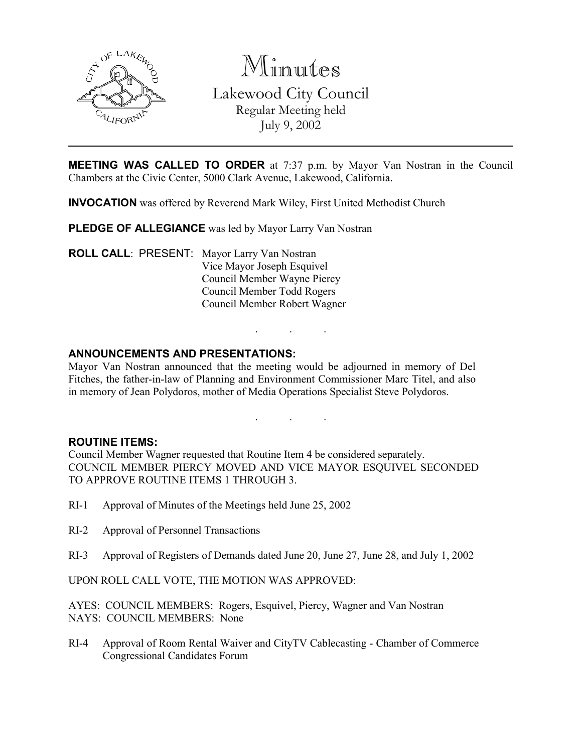

Minutes Lakewood City Council Regular Meeting held July 9, 2002

**MEETING WAS CALLED TO ORDER** at 7:37 p.m. by Mayor Van Nostran in the Council Chambers at the Civic Center, 5000 Clark Avenue, Lakewood, California.

INVOCATION was offered by Reverend Mark Wiley, First United Methodist Church

PLEDGE OF ALLEGIANCE was led by Mayor Larry Van Nostran

ROLL CALL: PRESENT: Mayor Larry Van Nostran Vice Mayor Joseph Esquivel Council Member Wayne Piercy Council Member Todd Rogers Council Member Robert Wagner

## ANNOUNCEMENTS AND PRESENTATIONS:

Mayor Van Nostran announced that the meeting would be adjourned in memory of Del Fitches, the father-in-law of Planning and Environment Commissioner Marc Titel, and also in memory of Jean Polydoros, mother of Media Operations Specialist Steve Polydoros.

. . .

. . .

## ROUTINE ITEMS:

Council Member Wagner requested that Routine Item 4 be considered separately. COUNCIL MEMBER PIERCY MOVED AND VICE MAYOR ESQUIVEL SECONDED TO APPROVE ROUTINE ITEMS 1 THROUGH 3.

- RI-1 Approval of Minutes of the Meetings held June 25, 2002
- RI-2 Approval of Personnel Transactions
- RI-3 Approval of Registers of Demands dated June 20, June 27, June 28, and July 1, 2002

UPON ROLL CALL VOTE, THE MOTION WAS APPROVED:

AYES: COUNCIL MEMBERS: Rogers, Esquivel, Piercy, Wagner and Van Nostran NAYS: COUNCIL MEMBERS: None

RI-4 Approval of Room Rental Waiver and CityTV Cablecasting - Chamber of Commerce Congressional Candidates Forum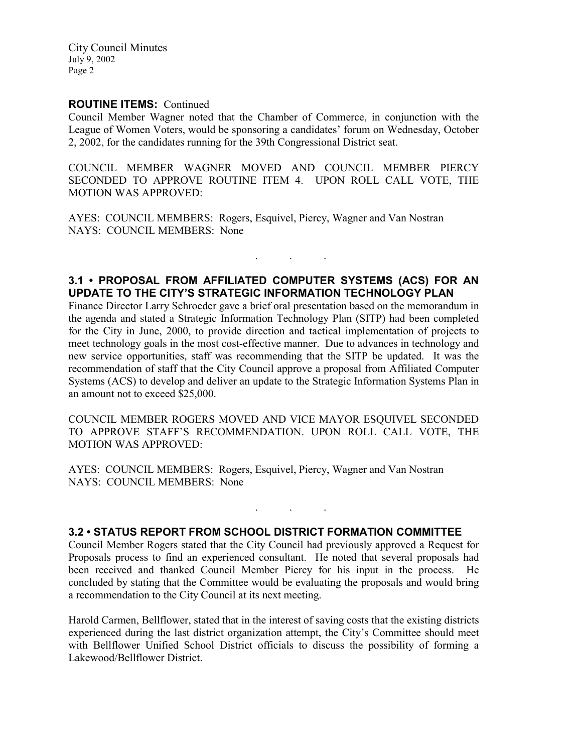City Council Minutes July 9, 2002 Page 2

## ROUTINE ITEMS: Continued

Council Member Wagner noted that the Chamber of Commerce, in conjunction with the League of Women Voters, would be sponsoring a candidates' forum on Wednesday, October 2, 2002, for the candidates running for the 39th Congressional District seat.

COUNCIL MEMBER WAGNER MOVED AND COUNCIL MEMBER PIERCY SECONDED TO APPROVE ROUTINE ITEM 4. UPON ROLL CALL VOTE, THE MOTION WAS APPROVED:

AYES: COUNCIL MEMBERS: Rogers, Esquivel, Piercy, Wagner and Van Nostran NAYS: COUNCIL MEMBERS: None

# 3.1 • PROPOSAL FROM AFFILIATED COMPUTER SYSTEMS (ACS) FOR AN UPDATE TO THE CITY'S STRATEGIC INFORMATION TECHNOLOGY PLAN

. . .

Finance Director Larry Schroeder gave a brief oral presentation based on the memorandum in the agenda and stated a Strategic Information Technology Plan (SITP) had been completed for the City in June, 2000, to provide direction and tactical implementation of projects to meet technology goals in the most cost-effective manner. Due to advances in technology and new service opportunities, staff was recommending that the SITP be updated. It was the recommendation of staff that the City Council approve a proposal from Affiliated Computer Systems (ACS) to develop and deliver an update to the Strategic Information Systems Plan in an amount not to exceed \$25,000.

COUNCIL MEMBER ROGERS MOVED AND VICE MAYOR ESQUIVEL SECONDED TO APPROVE STAFF'S RECOMMENDATION. UPON ROLL CALL VOTE, THE MOTION WAS APPROVED:

AYES: COUNCIL MEMBERS: Rogers, Esquivel, Piercy, Wagner and Van Nostran NAYS: COUNCIL MEMBERS: None

## 3.2 • STATUS REPORT FROM SCHOOL DISTRICT FORMATION COMMITTEE

Council Member Rogers stated that the City Council had previously approved a Request for Proposals process to find an experienced consultant. He noted that several proposals had been received and thanked Council Member Piercy for his input in the process. He concluded by stating that the Committee would be evaluating the proposals and would bring a recommendation to the City Council at its next meeting.

. . .

Harold Carmen, Bellflower, stated that in the interest of saving costs that the existing districts experienced during the last district organization attempt, the City's Committee should meet with Bellflower Unified School District officials to discuss the possibility of forming a Lakewood/Bellflower District.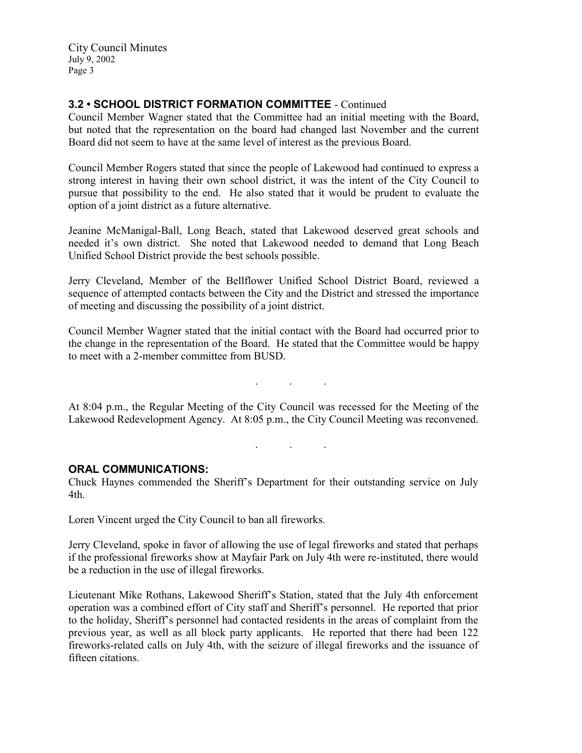City Council Minutes July 9, 2002 Page 3

# 3.2 • SCHOOL DISTRICT FORMATION COMMITTEE - Continued

Council Member Wagner stated that the Committee had an initial meeting with the Board, but noted that the representation on the board had changed last November and the current Board did not seem to have at the same level of interest as the previous Board.

Council Member Rogers stated that since the people of Lakewood had continued to express a strong interest in having their own school district, it was the intent of the City Council to pursue that possibility to the end. He also stated that it would be prudent to evaluate the option of a joint district as a future alternative.

Jeanine McManigal-Ball, Long Beach, stated that Lakewood deserved great schools and needed it's own district. She noted that Lakewood needed to demand that Long Beach Unified School District provide the best schools possible.

Jerry Cleveland, Member of the Bellflower Unified School District Board, reviewed a sequence of attempted contacts between the City and the District and stressed the importance of meeting and discussing the possibility of a joint district.

Council Member Wagner stated that the initial contact with the Board had occurred prior to the change in the representation of the Board. He stated that the Committee would be happy to meet with a 2-member committee from BUSD.

At 8:04 p.m., the Regular Meeting of the City Council was recessed for the Meeting of the Lakewood Redevelopment Agency. At 8:05 p.m., the City Council Meeting was reconvened.

#### . . .

. . .

## ORAL COMMUNICATIONS:

Chuck Haynes commended the Sheriff's Department for their outstanding service on July 4th.

Loren Vincent urged the City Council to ban all fireworks.

Jerry Cleveland, spoke in favor of allowing the use of legal fireworks and stated that perhaps if the professional fireworks show at Mayfair Park on July 4th were re-instituted, there would be a reduction in the use of illegal fireworks.

Lieutenant Mike Rothans, Lakewood Sheriff's Station, stated that the July 4th enforcement operation was a combined effort of City staff and Sheriff's personnel. He reported that prior to the holiday, Sheriff's personnel had contacted residents in the areas of complaint from the previous year, as well as all block party applicants. He reported that there had been 122 fireworks-related calls on July 4th, with the seizure of illegal fireworks and the issuance of fifteen citations.